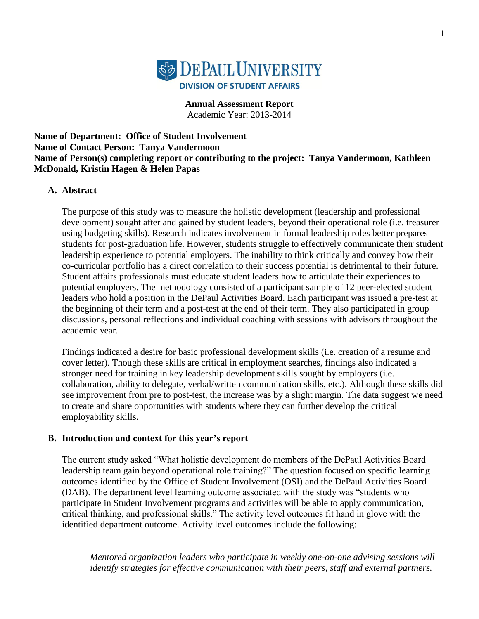

**Annual Assessment Report** Academic Year: 2013-2014

**Name of Department: Office of Student Involvement Name of Contact Person: Tanya Vandermoon Name of Person(s) completing report or contributing to the project: Tanya Vandermoon, Kathleen McDonald, Kristin Hagen & Helen Papas**

#### **A. Abstract**

The purpose of this study was to measure the holistic development (leadership and professional development) sought after and gained by student leaders, beyond their operational role (i.e. treasurer using budgeting skills). Research indicates involvement in formal leadership roles better prepares students for post-graduation life. However, students struggle to effectively communicate their student leadership experience to potential employers. The inability to think critically and convey how their co-curricular portfolio has a direct correlation to their success potential is detrimental to their future. Student affairs professionals must educate student leaders how to articulate their experiences to potential employers. The methodology consisted of a participant sample of 12 peer-elected student leaders who hold a position in the DePaul Activities Board. Each participant was issued a pre-test at the beginning of their term and a post-test at the end of their term. They also participated in group discussions, personal reflections and individual coaching with sessions with advisors throughout the academic year.

Findings indicated a desire for basic professional development skills (i.e. creation of a resume and cover letter). Though these skills are critical in employment searches, findings also indicated a stronger need for training in key leadership development skills sought by employers (i.e. collaboration, ability to delegate, verbal/written communication skills, etc.). Although these skills did see improvement from pre to post-test, the increase was by a slight margin. The data suggest we need to create and share opportunities with students where they can further develop the critical employability skills.

#### **B. Introduction and context for this year's report**

The current study asked "What holistic development do members of the DePaul Activities Board leadership team gain beyond operational role training?" The question focused on specific learning outcomes identified by the Office of Student Involvement (OSI) and the DePaul Activities Board (DAB). The department level learning outcome associated with the study was "students who participate in Student Involvement programs and activities will be able to apply communication, critical thinking, and professional skills." The activity level outcomes fit hand in glove with the identified department outcome. Activity level outcomes include the following:

*Mentored organization leaders who participate in weekly one-on-one advising sessions will identify strategies for effective communication with their peers, staff and external partners.*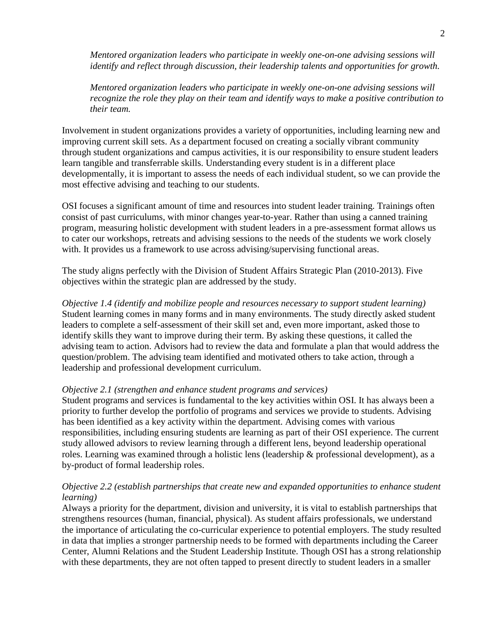*Mentored organization leaders who participate in weekly one-on-one advising sessions will identify and reflect through discussion, their leadership talents and opportunities for growth.* 

*Mentored organization leaders who participate in weekly one-on-one advising sessions will recognize the role they play on their team and identify ways to make a positive contribution to their team.* 

Involvement in student organizations provides a variety of opportunities, including learning new and improving current skill sets. As a department focused on creating a socially vibrant community through student organizations and campus activities, it is our responsibility to ensure student leaders learn tangible and transferrable skills. Understanding every student is in a different place developmentally, it is important to assess the needs of each individual student, so we can provide the most effective advising and teaching to our students.

OSI focuses a significant amount of time and resources into student leader training. Trainings often consist of past curriculums, with minor changes year-to-year. Rather than using a canned training program, measuring holistic development with student leaders in a pre-assessment format allows us to cater our workshops, retreats and advising sessions to the needs of the students we work closely with. It provides us a framework to use across advising/supervising functional areas.

The study aligns perfectly with the Division of Student Affairs Strategic Plan (2010-2013). Five objectives within the strategic plan are addressed by the study.

*Objective 1.4 (identify and mobilize people and resources necessary to support student learning)* Student learning comes in many forms and in many environments. The study directly asked student leaders to complete a self-assessment of their skill set and, even more important, asked those to identify skills they want to improve during their term. By asking these questions, it called the advising team to action. Advisors had to review the data and formulate a plan that would address the question/problem. The advising team identified and motivated others to take action, through a leadership and professional development curriculum.

#### *Objective 2.1 (strengthen and enhance student programs and services)*

Student programs and services is fundamental to the key activities within OSI. It has always been a priority to further develop the portfolio of programs and services we provide to students. Advising has been identified as a key activity within the department. Advising comes with various responsibilities, including ensuring students are learning as part of their OSI experience. The current study allowed advisors to review learning through a different lens, beyond leadership operational roles. Learning was examined through a holistic lens (leadership & professional development), as a by-product of formal leadership roles.

### *Objective 2.2 (establish partnerships that create new and expanded opportunities to enhance student learning)*

Always a priority for the department, division and university, it is vital to establish partnerships that strengthens resources (human, financial, physical). As student affairs professionals, we understand the importance of articulating the co-curricular experience to potential employers. The study resulted in data that implies a stronger partnership needs to be formed with departments including the Career Center, Alumni Relations and the Student Leadership Institute. Though OSI has a strong relationship with these departments, they are not often tapped to present directly to student leaders in a smaller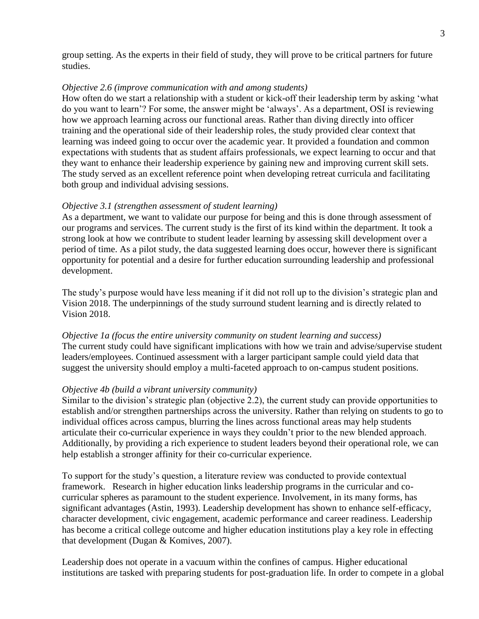group setting. As the experts in their field of study, they will prove to be critical partners for future studies.

#### *Objective 2.6 (improve communication with and among students)*

How often do we start a relationship with a student or kick-off their leadership term by asking "what do you want to learn"? For some, the answer might be "always". As a department, OSI is reviewing how we approach learning across our functional areas. Rather than diving directly into officer training and the operational side of their leadership roles, the study provided clear context that learning was indeed going to occur over the academic year. It provided a foundation and common expectations with students that as student affairs professionals, we expect learning to occur and that they want to enhance their leadership experience by gaining new and improving current skill sets. The study served as an excellent reference point when developing retreat curricula and facilitating both group and individual advising sessions.

#### *Objective 3.1 (strengthen assessment of student learning)*

As a department, we want to validate our purpose for being and this is done through assessment of our programs and services. The current study is the first of its kind within the department. It took a strong look at how we contribute to student leader learning by assessing skill development over a period of time. As a pilot study, the data suggested learning does occur, however there is significant opportunity for potential and a desire for further education surrounding leadership and professional development.

The study's purpose would have less meaning if it did not roll up to the division's strategic plan and Vision 2018. The underpinnings of the study surround student learning and is directly related to Vision 2018.

*Objective 1a (focus the entire university community on student learning and success)* The current study could have significant implications with how we train and advise/supervise student leaders/employees. Continued assessment with a larger participant sample could yield data that suggest the university should employ a multi-faceted approach to on-campus student positions.

#### *Objective 4b (build a vibrant university community)*

Similar to the division"s strategic plan (objective 2.2), the current study can provide opportunities to establish and/or strengthen partnerships across the university. Rather than relying on students to go to individual offices across campus, blurring the lines across functional areas may help students articulate their co-curricular experience in ways they couldn"t prior to the new blended approach. Additionally, by providing a rich experience to student leaders beyond their operational role, we can help establish a stronger affinity for their co-curricular experience.

To support for the study"s question, a literature review was conducted to provide contextual framework. Research in higher education links leadership programs in the curricular and cocurricular spheres as paramount to the student experience. Involvement, in its many forms, has significant advantages (Astin, 1993). Leadership development has shown to enhance self-efficacy, character development, civic engagement, academic performance and career readiness. Leadership has become a critical college outcome and higher education institutions play a key role in effecting that development (Dugan & Komives, 2007).

Leadership does not operate in a vacuum within the confines of campus. Higher educational institutions are tasked with preparing students for post-graduation life. In order to compete in a global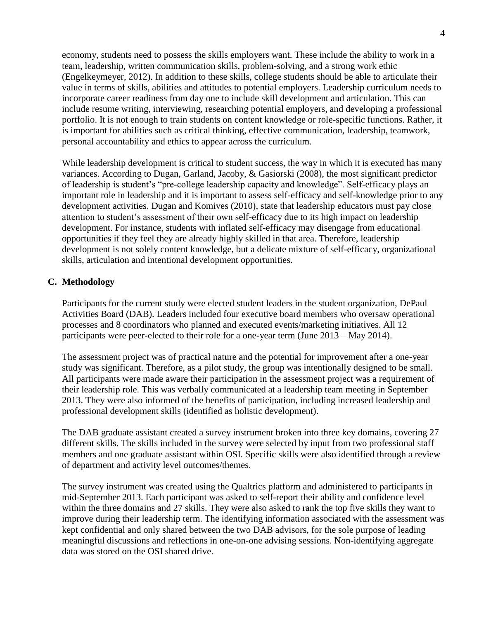economy, students need to possess the skills employers want. These include the ability to work in a team, leadership, written communication skills, problem-solving, and a strong work ethic (Engelkeymeyer, 2012). In addition to these skills, college students should be able to articulate their value in terms of skills, abilities and attitudes to potential employers. Leadership curriculum needs to incorporate career readiness from day one to include skill development and articulation. This can include resume writing, interviewing, researching potential employers, and developing a professional portfolio. It is not enough to train students on content knowledge or role-specific functions. Rather, it is important for abilities such as critical thinking, effective communication, leadership, teamwork, personal accountability and ethics to appear across the curriculum.

While leadership development is critical to student success, the way in which it is executed has many variances. According to Dugan, Garland, Jacoby, & Gasiorski (2008), the most significant predictor of leadership is student"s "pre-college leadership capacity and knowledge". Self-efficacy plays an important role in leadership and it is important to assess self-efficacy and self-knowledge prior to any development activities. Dugan and Komives (2010), state that leadership educators must pay close attention to student"s assessment of their own self-efficacy due to its high impact on leadership development. For instance, students with inflated self-efficacy may disengage from educational opportunities if they feel they are already highly skilled in that area. Therefore, leadership development is not solely content knowledge, but a delicate mixture of self-efficacy, organizational skills, articulation and intentional development opportunities.

### **C. Methodology**

Participants for the current study were elected student leaders in the student organization, DePaul Activities Board (DAB). Leaders included four executive board members who oversaw operational processes and 8 coordinators who planned and executed events/marketing initiatives. All 12 participants were peer-elected to their role for a one-year term (June 2013 – May 2014).

The assessment project was of practical nature and the potential for improvement after a one-year study was significant. Therefore, as a pilot study, the group was intentionally designed to be small. All participants were made aware their participation in the assessment project was a requirement of their leadership role. This was verbally communicated at a leadership team meeting in September 2013. They were also informed of the benefits of participation, including increased leadership and professional development skills (identified as holistic development).

The DAB graduate assistant created a survey instrument broken into three key domains, covering 27 different skills. The skills included in the survey were selected by input from two professional staff members and one graduate assistant within OSI. Specific skills were also identified through a review of department and activity level outcomes/themes.

The survey instrument was created using the Qualtrics platform and administered to participants in mid-September 2013. Each participant was asked to self-report their ability and confidence level within the three domains and 27 skills. They were also asked to rank the top five skills they want to improve during their leadership term. The identifying information associated with the assessment was kept confidential and only shared between the two DAB advisors, for the sole purpose of leading meaningful discussions and reflections in one-on-one advising sessions. Non-identifying aggregate data was stored on the OSI shared drive.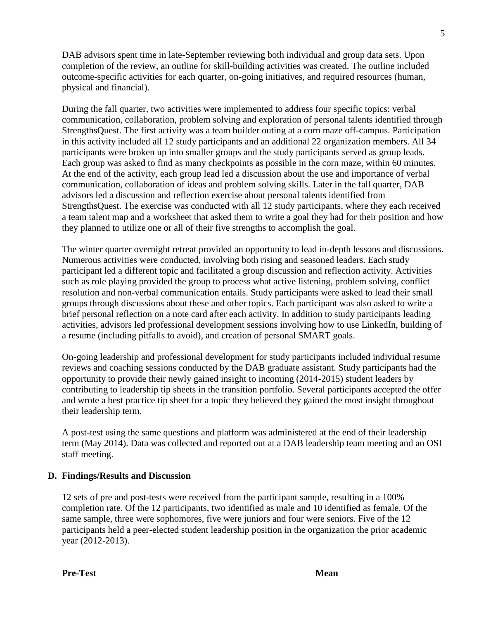DAB advisors spent time in late-September reviewing both individual and group data sets. Upon completion of the review, an outline for skill-building activities was created. The outline included outcome-specific activities for each quarter, on-going initiatives, and required resources (human, physical and financial).

During the fall quarter, two activities were implemented to address four specific topics: verbal communication, collaboration, problem solving and exploration of personal talents identified through StrengthsQuest. The first activity was a team builder outing at a corn maze off-campus. Participation in this activity included all 12 study participants and an additional 22 organization members. All 34 participants were broken up into smaller groups and the study participants served as group leads. Each group was asked to find as many checkpoints as possible in the corn maze, within 60 minutes. At the end of the activity, each group lead led a discussion about the use and importance of verbal communication, collaboration of ideas and problem solving skills. Later in the fall quarter, DAB advisors led a discussion and reflection exercise about personal talents identified from StrengthsQuest. The exercise was conducted with all 12 study participants, where they each received a team talent map and a worksheet that asked them to write a goal they had for their position and how they planned to utilize one or all of their five strengths to accomplish the goal.

The winter quarter overnight retreat provided an opportunity to lead in-depth lessons and discussions. Numerous activities were conducted, involving both rising and seasoned leaders. Each study participant led a different topic and facilitated a group discussion and reflection activity. Activities such as role playing provided the group to process what active listening, problem solving, conflict resolution and non-verbal communication entails. Study participants were asked to lead their small groups through discussions about these and other topics. Each participant was also asked to write a brief personal reflection on a note card after each activity. In addition to study participants leading activities, advisors led professional development sessions involving how to use LinkedIn, building of a resume (including pitfalls to avoid), and creation of personal SMART goals.

On-going leadership and professional development for study participants included individual resume reviews and coaching sessions conducted by the DAB graduate assistant. Study participants had the opportunity to provide their newly gained insight to incoming (2014-2015) student leaders by contributing to leadership tip sheets in the transition portfolio. Several participants accepted the offer and wrote a best practice tip sheet for a topic they believed they gained the most insight throughout their leadership term.

A post-test using the same questions and platform was administered at the end of their leadership term (May 2014). Data was collected and reported out at a DAB leadership team meeting and an OSI staff meeting.

### **D. Findings/Results and Discussion**

12 sets of pre and post-tests were received from the participant sample, resulting in a 100% completion rate. Of the 12 participants, two identified as male and 10 identified as female. Of the same sample, three were sophomores, five were juniors and four were seniors. Five of the 12 participants held a peer-elected student leadership position in the organization the prior academic year (2012-2013).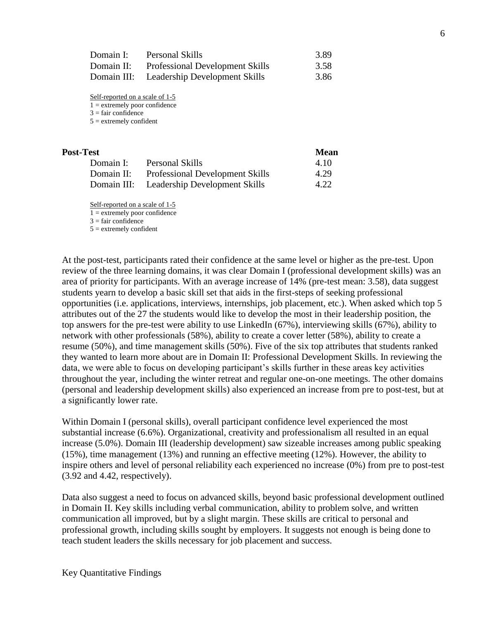| Domain I:  | Personal Skills                           | 3.89 |
|------------|-------------------------------------------|------|
| Domain II: | <b>Professional Development Skills</b>    | 3.58 |
|            | Domain III: Leadership Development Skills | 3.86 |

Self-reported on a scale of 1-5

 $1 =$  extremely poor confidence

 $3 =$  fair confidence

 $5 =$  extremely confident

| Post-Test   |                                        | <b>Mean</b> |
|-------------|----------------------------------------|-------------|
| Domain I:   | Personal Skills                        | 4.10        |
| Domain II:  | <b>Professional Development Skills</b> | 4.29        |
| Domain III: | Leadership Development Skills          | 4.22        |

Self-reported on a scale of 1-5

 $1 =$  extremely poor confidence

 $3 =$ fair confidence

 $5 =$  extremely confident

At the post-test, participants rated their confidence at the same level or higher as the pre-test. Upon review of the three learning domains, it was clear Domain I (professional development skills) was an area of priority for participants. With an average increase of 14% (pre-test mean: 3.58), data suggest students yearn to develop a basic skill set that aids in the first-steps of seeking professional opportunities (i.e. applications, interviews, internships, job placement, etc.). When asked which top 5 attributes out of the 27 the students would like to develop the most in their leadership position, the top answers for the pre-test were ability to use LinkedIn (67%), interviewing skills (67%), ability to network with other professionals (58%), ability to create a cover letter (58%), ability to create a resume (50%), and time management skills (50%). Five of the six top attributes that students ranked they wanted to learn more about are in Domain II: Professional Development Skills. In reviewing the data, we were able to focus on developing participant's skills further in these areas key activities throughout the year, including the winter retreat and regular one-on-one meetings. The other domains (personal and leadership development skills) also experienced an increase from pre to post-test, but at a significantly lower rate.

Within Domain I (personal skills), overall participant confidence level experienced the most substantial increase (6.6%). Organizational, creativity and professionalism all resulted in an equal increase (5.0%). Domain III (leadership development) saw sizeable increases among public speaking (15%), time management (13%) and running an effective meeting (12%). However, the ability to inspire others and level of personal reliability each experienced no increase (0%) from pre to post-test (3.92 and 4.42, respectively).

Data also suggest a need to focus on advanced skills, beyond basic professional development outlined in Domain II. Key skills including verbal communication, ability to problem solve, and written communication all improved, but by a slight margin. These skills are critical to personal and professional growth, including skills sought by employers. It suggests not enough is being done to teach student leaders the skills necessary for job placement and success.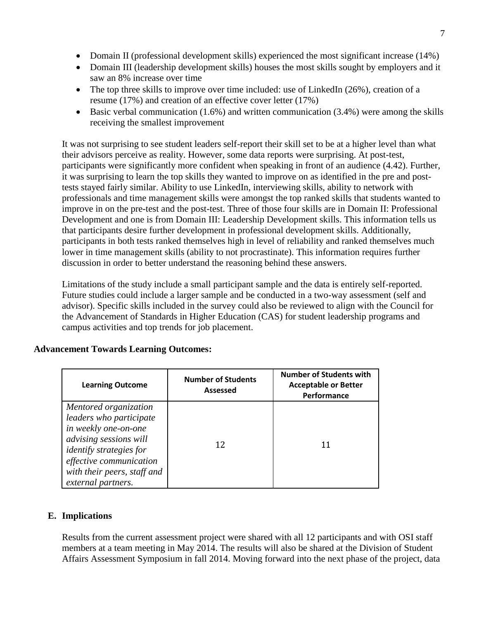- Domain II (professional development skills) experienced the most significant increase (14%)
- Domain III (leadership development skills) houses the most skills sought by employers and it saw an 8% increase over time
- The top three skills to improve over time included: use of LinkedIn (26%), creation of a resume (17%) and creation of an effective cover letter (17%)
- $\bullet$  Basic verbal communication (1.6%) and written communication (3.4%) were among the skills receiving the smallest improvement

It was not surprising to see student leaders self-report their skill set to be at a higher level than what their advisors perceive as reality. However, some data reports were surprising. At post-test, participants were significantly more confident when speaking in front of an audience (4.42). Further, it was surprising to learn the top skills they wanted to improve on as identified in the pre and posttests stayed fairly similar. Ability to use LinkedIn, interviewing skills, ability to network with professionals and time management skills were amongst the top ranked skills that students wanted to improve in on the pre-test and the post-test. Three of those four skills are in Domain II: Professional Development and one is from Domain III: Leadership Development skills. This information tells us that participants desire further development in professional development skills. Additionally, participants in both tests ranked themselves high in level of reliability and ranked themselves much lower in time management skills (ability to not procrastinate). This information requires further discussion in order to better understand the reasoning behind these answers.

Limitations of the study include a small participant sample and the data is entirely self-reported. Future studies could include a larger sample and be conducted in a two-way assessment (self and advisor). Specific skills included in the survey could also be reviewed to align with the Council for the Advancement of Standards in Higher Education (CAS) for student leadership programs and campus activities and top trends for job placement.

| <b>Learning Outcome</b>                                                                                                                                                                                              | <b>Number of Students</b><br><b>Assessed</b> | <b>Number of Students with</b><br><b>Acceptable or Better</b><br>Performance |
|----------------------------------------------------------------------------------------------------------------------------------------------------------------------------------------------------------------------|----------------------------------------------|------------------------------------------------------------------------------|
| Mentored organization<br>leaders who participate<br>in weekly one-on-one<br>advising sessions will<br><i>identify strategies for</i><br>effective communication<br>with their peers, staff and<br>external partners. | 12                                           |                                                                              |

### **Advancement Towards Learning Outcomes:**

#### **E. Implications**

Results from the current assessment project were shared with all 12 participants and with OSI staff members at a team meeting in May 2014. The results will also be shared at the Division of Student Affairs Assessment Symposium in fall 2014. Moving forward into the next phase of the project, data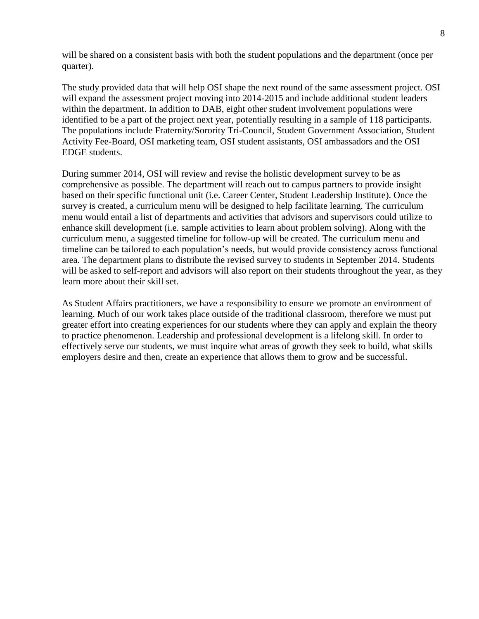will be shared on a consistent basis with both the student populations and the department (once per quarter).

The study provided data that will help OSI shape the next round of the same assessment project. OSI will expand the assessment project moving into 2014-2015 and include additional student leaders within the department. In addition to DAB, eight other student involvement populations were identified to be a part of the project next year, potentially resulting in a sample of 118 participants. The populations include Fraternity/Sorority Tri-Council, Student Government Association, Student Activity Fee-Board, OSI marketing team, OSI student assistants, OSI ambassadors and the OSI EDGE students.

During summer 2014, OSI will review and revise the holistic development survey to be as comprehensive as possible. The department will reach out to campus partners to provide insight based on their specific functional unit (i.e. Career Center, Student Leadership Institute). Once the survey is created, a curriculum menu will be designed to help facilitate learning. The curriculum menu would entail a list of departments and activities that advisors and supervisors could utilize to enhance skill development (i.e. sample activities to learn about problem solving). Along with the curriculum menu, a suggested timeline for follow-up will be created. The curriculum menu and timeline can be tailored to each population"s needs, but would provide consistency across functional area. The department plans to distribute the revised survey to students in September 2014. Students will be asked to self-report and advisors will also report on their students throughout the year, as they learn more about their skill set.

As Student Affairs practitioners, we have a responsibility to ensure we promote an environment of learning. Much of our work takes place outside of the traditional classroom, therefore we must put greater effort into creating experiences for our students where they can apply and explain the theory to practice phenomenon. Leadership and professional development is a lifelong skill. In order to effectively serve our students, we must inquire what areas of growth they seek to build, what skills employers desire and then, create an experience that allows them to grow and be successful.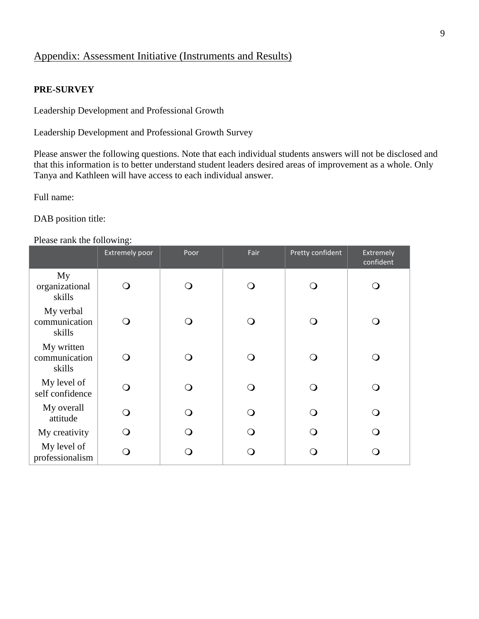### Appendix: Assessment Initiative (Instruments and Results)

#### **PRE-SURVEY**

Leadership Development and Professional Growth

Leadership Development and Professional Growth Survey

Please answer the following questions. Note that each individual students answers will not be disclosed and that this information is to better understand student leaders desired areas of improvement as a whole. Only Tanya and Kathleen will have access to each individual answer.

Full name:

DAB position title:

#### Please rank the following:

|                                       | <b>Extremely poor</b> | Poor | Fair | Pretty confident | Extremely<br>confident |
|---------------------------------------|-----------------------|------|------|------------------|------------------------|
| My<br>organizational<br>skills        | $\Omega$              |      |      |                  | $\circ$                |
| My verbal<br>communication<br>skills  | $\left( \ \right)$    |      | ு    |                  | O                      |
| My written<br>communication<br>skills | ∩ )                   |      | ົ    |                  | O                      |
| My level of<br>self confidence        | ∩                     |      |      |                  | ◯                      |
| My overall<br>attitude                | $\Omega$              |      | ∩    |                  | ∩                      |
| My creativity                         | ∩                     |      | ∩    |                  | $\Omega$               |
| My level of<br>professionalism        |                       |      |      |                  | ∩                      |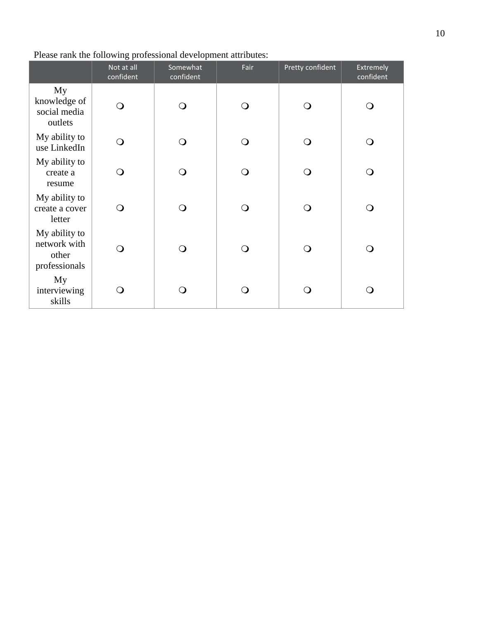|                                                         | Not at all<br>confident | Somewhat<br>confident | Fair | Pretty confident | Extremely<br>confident |
|---------------------------------------------------------|-------------------------|-----------------------|------|------------------|------------------------|
| My<br>knowledge of<br>social media<br>outlets           | Q                       | ∩                     | ∩    |                  | $\Omega$               |
| My ability to<br>use LinkedIn                           | ∩                       | ∩                     | ∩    |                  | ∩                      |
| My ability to<br>create a<br>resume                     | O                       | ∩                     | ∩    |                  | ∩                      |
| My ability to<br>create a cover<br>letter               | O                       | ∩                     | ∩    |                  | ∩                      |
| My ability to<br>network with<br>other<br>professionals | O                       | ∩                     | ∩    |                  | ∩                      |
| My<br>interviewing<br>skills                            | 0                       |                       |      |                  |                        |

### Please rank the following professional development attributes: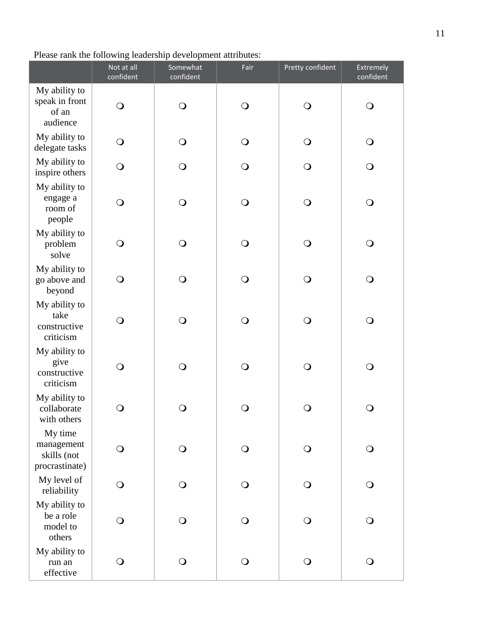## Please rank the following leadership development attributes:

|                                                        | Not at all<br>confident | Somewhat<br>confident | Fair           | Pretty confident | Extremely<br>confident |
|--------------------------------------------------------|-------------------------|-----------------------|----------------|------------------|------------------------|
| My ability to<br>speak in front<br>of an<br>audience   | $\bigcirc$              | $\bigcirc$            | $\bigcirc$     | $\bigcirc$       | $\bigcirc$             |
| My ability to<br>delegate tasks                        | $\bigcirc$              | $\bigcirc$            | $\bigcirc$     | $\bigcirc$       | $\bigcirc$             |
| My ability to<br>inspire others                        | $\bigcirc$              | $\bigcirc$            | $\bigcirc$     | $\bigcirc$       | $\bigcirc$             |
| My ability to<br>engage a<br>room of<br>people         | $\bigcirc$              | $\bigcirc$            | $\bigcirc$     | $\bigcirc$       | $\bigcirc$             |
| My ability to<br>problem<br>solve                      | $\bigcirc$              | $\bigcirc$            | $\bigcirc$     | $\bigcirc$       | $\bigcirc$             |
| My ability to<br>go above and<br>beyond                | $\bigcirc$              | $\bigcirc$            | $\bigcirc$     | $\bigcirc$       | $\bigcirc$             |
| My ability to<br>take<br>constructive<br>criticism     | $\bigcirc$              | $\bigcirc$            | $\bigcirc$     | $\bigcirc$       | $\bigcirc$             |
| My ability to<br>give<br>constructive<br>criticism     | $\bigcirc$              | $\bigcirc$            | $\bigcirc$     | $\bigcirc$       | $\bigcirc$             |
| My ability to<br>collaborate<br>with others            | $\bigcirc$              | $\bigcirc$            | $\bigcirc$     | $\bigcirc$       | $\bigcirc$             |
| My time<br>management<br>skills (not<br>procrastinate) | $\bigcirc$              | $\bigcirc$            | $\bigcirc$     | $\bigcirc$       | $\bigcirc$             |
| My level of<br>reliability                             | $\bigcirc$              | $\bigcirc$            | $\bigcirc$     | $\bigcirc$       | $\bigcirc$             |
| My ability to<br>be a role<br>model to<br>others       | $\bigcirc$              | $\bigcirc$            | $\overline{O}$ | $\bigcirc$       | $\bigcirc$             |
| My ability to<br>run an<br>effective                   | $\bigcirc$              | $\bigcirc$            | $\bigcirc$     | $\bigcirc$       | $\bigcirc$             |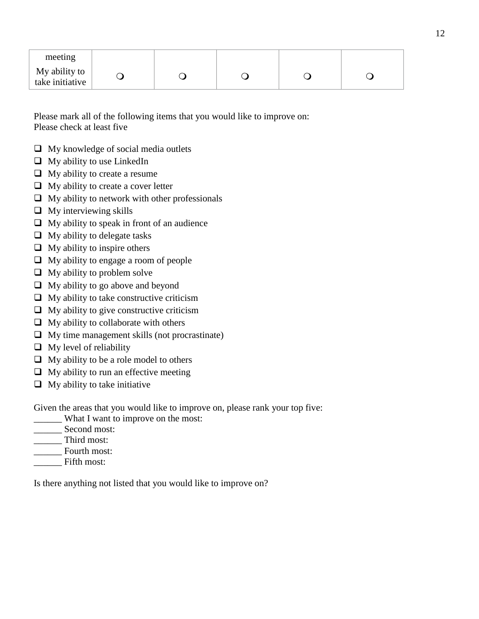| meeting                          |  |  |  |
|----------------------------------|--|--|--|
| My ability to<br>take initiative |  |  |  |

Please mark all of the following items that you would like to improve on: Please check at least five

- $\Box$  My knowledge of social media outlets
- $\Box$  My ability to use LinkedIn
- $\Box$  My ability to create a resume
- $\Box$  My ability to create a cover letter
- $\Box$  My ability to network with other professionals
- $\Box$  My interviewing skills
- $\Box$  My ability to speak in front of an audience
- $\Box$  My ability to delegate tasks
- $\Box$  My ability to inspire others
- $\Box$  My ability to engage a room of people
- $\Box$  My ability to problem solve
- $\Box$  My ability to go above and beyond
- $\Box$  My ability to take constructive criticism
- $\Box$  My ability to give constructive criticism
- $\Box$  My ability to collaborate with others
- $\Box$  My time management skills (not procrastinate)
- $\Box$  My level of reliability
- $\Box$  My ability to be a role model to others
- $\Box$  My ability to run an effective meeting
- $\Box$  My ability to take initiative

Given the areas that you would like to improve on, please rank your top five:

- \_\_\_\_\_\_ What I want to improve on the most:
- \_\_\_\_\_\_ Second most:
- Third most:
- Fourth most:
- Fifth most:

Is there anything not listed that you would like to improve on?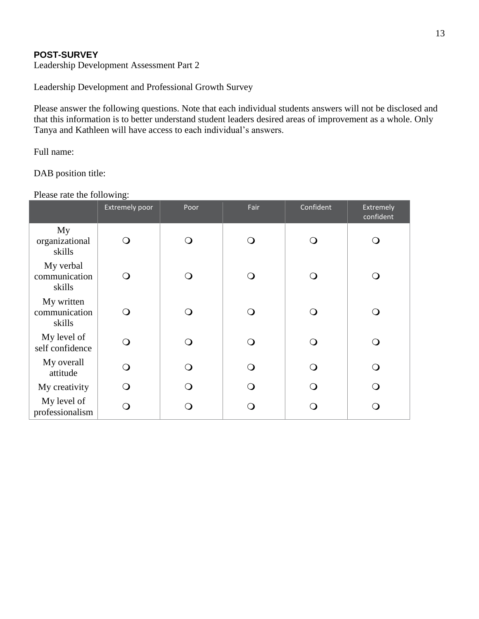### **POST-SURVEY**

Leadership Development Assessment Part 2

Leadership Development and Professional Growth Survey

Please answer the following questions. Note that each individual students answers will not be disclosed and that this information is to better understand student leaders desired areas of improvement as a whole. Only Tanya and Kathleen will have access to each individual"s answers.

Full name:

DAB position title:

Please rate the following:

|                                       | <b>Extremely poor</b> | Poor | Fair | Confident | Extremely<br>confident |
|---------------------------------------|-----------------------|------|------|-----------|------------------------|
| My<br>organizational<br>skills        |                       |      |      |           | $\circ$                |
| My verbal<br>communication<br>skills  |                       |      |      |           | O                      |
| My written<br>communication<br>skills |                       |      |      |           | $\Omega$               |
| My level of<br>self confidence        |                       |      |      |           | ∩                      |
| My overall<br>attitude                | ∩                     |      |      |           | ∩                      |
| My creativity                         | ∩                     |      |      |           | ∩                      |
| My level of<br>professionalism        |                       |      |      |           | ◯                      |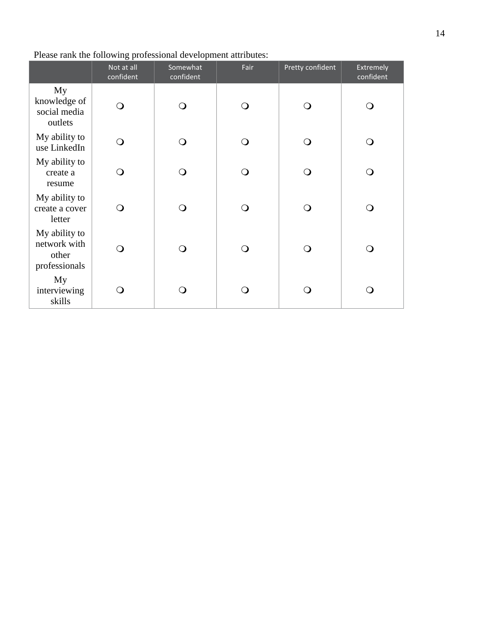|                                                         | Not at all<br>confident | Somewhat<br>confident | Fair | Pretty confident | Extremely<br>confident |
|---------------------------------------------------------|-------------------------|-----------------------|------|------------------|------------------------|
| My<br>knowledge of<br>social media<br>outlets           | Q                       | ∩                     | ∩    |                  | $\Omega$               |
| My ability to<br>use LinkedIn                           | ∩                       | ∩                     | ∩    |                  | ∩                      |
| My ability to<br>create a<br>resume                     | O                       | ∩                     | ∩    |                  | ∩                      |
| My ability to<br>create a cover<br>letter               | O                       | ∩                     | ∩    |                  | ∩                      |
| My ability to<br>network with<br>other<br>professionals | O                       | ∩                     | ∩    |                  | ∩                      |
| My<br>interviewing<br>skills                            | 0                       |                       |      |                  |                        |

### Please rank the following professional development attributes: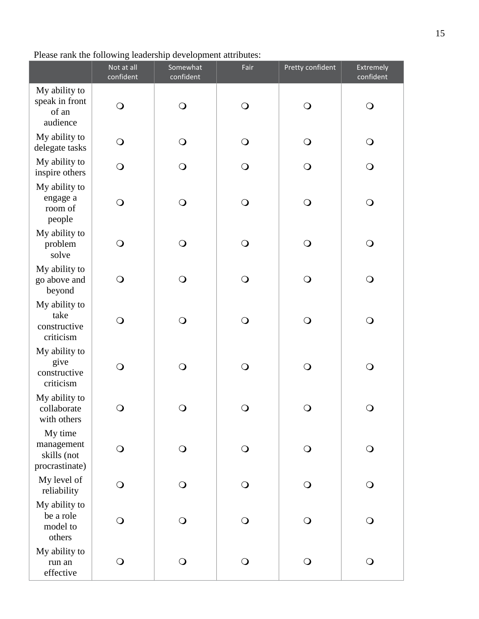## Please rank the following leadership development attributes:

|                                                        | Not at all<br>confident | Somewhat<br>confident | Fair       | Pretty confident | Extremely<br>confident |
|--------------------------------------------------------|-------------------------|-----------------------|------------|------------------|------------------------|
| My ability to<br>speak in front<br>of an<br>audience   | $\bigcirc$              | $\bigcirc$            | $\bigcirc$ | $\mathbf{O}$     | $\bigcirc$             |
| My ability to<br>delegate tasks                        | $\bigcirc$              | $\bigcirc$            | $\bigcirc$ | $\bigcirc$       | $\bigcirc$             |
| My ability to<br>inspire others                        | $\bigcirc$              | $\bigcirc$            | $\bigcirc$ | $\bigcirc$       | $\bigcirc$             |
| My ability to<br>engage a<br>room of<br>people         | $\bigcirc$              | $\bigcirc$            | $\bigcirc$ | $\bigcirc$       | $\bigcirc$             |
| My ability to<br>problem<br>solve                      | $\bigcirc$              | $\bigcirc$            | $\bigcirc$ | $\bigcirc$       | $\bigcirc$             |
| My ability to<br>go above and<br>beyond                | $\bigcirc$              | $\bigcirc$            | $\bigcirc$ | $\bigcirc$       | $\bigcirc$             |
| My ability to<br>take<br>constructive<br>criticism     | $\bigcirc$              | $\bigcirc$            | $\bigcirc$ | $\bigcirc$       | $\bigcirc$             |
| My ability to<br>give<br>constructive<br>criticism     | $\bigcirc$              | $\bigcirc$            | $\bigcirc$ | $\bigcirc$       | $\bigcirc$             |
| My ability to<br>collaborate<br>with others            | $\bigcirc$              | $\bigcirc$            | $\bigcirc$ | $\bigcirc$       | $\bigcirc$             |
| My time<br>management<br>skills (not<br>procrastinate) | $\bigcirc$              | $\bigcirc$            | $\bigcirc$ | $\bigcirc$       | $\bigcirc$             |
| My level of<br>reliability                             | $\bigcirc$              | $\bigcirc$            | $\bigcirc$ | $\bigcirc$       | $\bigcirc$             |
| My ability to<br>be a role<br>model to<br>others       | $\bigcirc$              | $\overline{O}$        | $\Omega$   | $\circ$          | $\bigcirc$             |
| My ability to<br>run an<br>effective                   | $\bigcirc$              | $\bigcirc$            | $\bigcirc$ | $\bigcirc$       | $\bigcirc$             |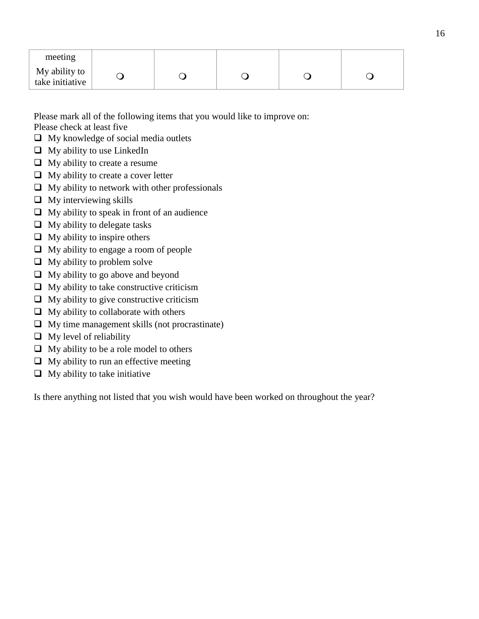| meeting                          |  |  |  |
|----------------------------------|--|--|--|
| My ability to<br>take initiative |  |  |  |

Please mark all of the following items that you would like to improve on: Please check at least five

- $\Box$  My knowledge of social media outlets
- $\Box$  My ability to use LinkedIn
- $\Box$  My ability to create a resume
- $\Box$  My ability to create a cover letter
- $\Box$  My ability to network with other professionals
- $\Box$  My interviewing skills
- $\Box$  My ability to speak in front of an audience
- $\Box$  My ability to delegate tasks
- $\Box$  My ability to inspire others
- $\Box$  My ability to engage a room of people
- $\Box$  My ability to problem solve
- $\Box$  My ability to go above and beyond
- $\Box$  My ability to take constructive criticism
- $\Box$  My ability to give constructive criticism
- $\Box$  My ability to collaborate with others
- $\Box$  My time management skills (not procrastinate)
- $\Box$  My level of reliability
- $\Box$  My ability to be a role model to others
- $\Box$  My ability to run an effective meeting
- $\Box$  My ability to take initiative

Is there anything not listed that you wish would have been worked on throughout the year?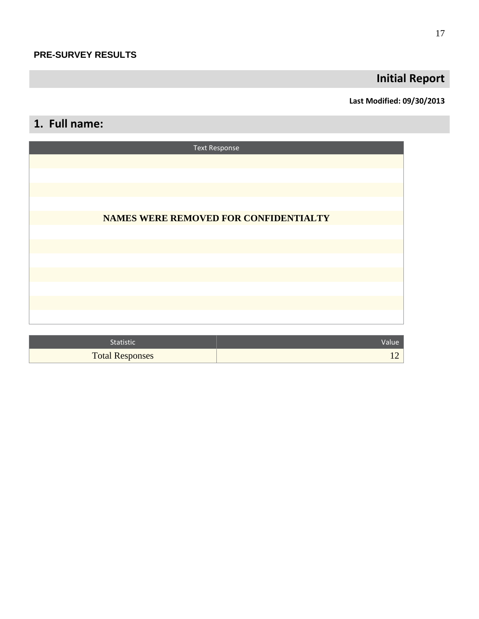## **Initial Report**

### **Last Modified: 09/30/2013**

## **1. Full name:**

| <b>Text Response</b>                  |
|---------------------------------------|
|                                       |
|                                       |
|                                       |
| NAMES WERE REMOVED FOR CONFIDENTIALTY |
|                                       |
|                                       |
|                                       |
|                                       |
|                                       |
|                                       |
|                                       |

| <b>Statistic</b>       | Value |
|------------------------|-------|
| <b>Total Responses</b> |       |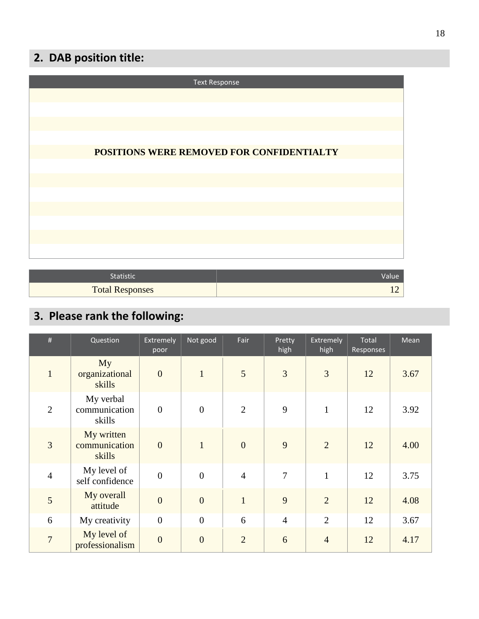## **2. DAB position title:**

| <b>Text Response</b>                      |
|-------------------------------------------|
|                                           |
|                                           |
|                                           |
| POSITIONS WERE REMOVED FOR CONFIDENTIALTY |
|                                           |
|                                           |
|                                           |
|                                           |
|                                           |
|                                           |
|                                           |

| <b>Statistic</b>       |  |
|------------------------|--|
| <b>Total Responses</b> |  |

# **3. Please rank the following:**

L

L

| #              | Question                              | Extremely<br>poor | Not good       | Fair           | Pretty<br>high | <b>Extremely</b><br>high | Total<br>Responses | Mean |
|----------------|---------------------------------------|-------------------|----------------|----------------|----------------|--------------------------|--------------------|------|
| $\mathbf{1}$   | My<br>organizational<br>skills        | $\overline{0}$    | $\mathbf{1}$   | 5              | $\overline{3}$ | 3                        | 12                 | 3.67 |
| 2              | My verbal<br>communication<br>skills  | $\overline{0}$    | $\overline{0}$ | $\overline{2}$ | 9              | $\mathbf{1}$             | 12                 | 3.92 |
| $\overline{3}$ | My written<br>communication<br>skills | $\overline{0}$    | $\mathbf{1}$   | $\overline{0}$ | 9              | 2                        | 12                 | 4.00 |
| $\overline{4}$ | My level of<br>self confidence        | $\overline{0}$    | $\overline{0}$ | $\overline{4}$ | $\overline{7}$ | $\mathbf{1}$             | 12                 | 3.75 |
| 5              | My overall<br>attitude                | $\overline{0}$    | $\overline{0}$ | $\overline{1}$ | 9              | $\overline{2}$           | 12                 | 4.08 |
| 6              | My creativity                         | $\theta$          | $\mathbf{0}$   | 6              | $\overline{4}$ | $\overline{2}$           | 12                 | 3.67 |
| $\overline{7}$ | My level of<br>professionalism        | $\overline{0}$    | $\overline{0}$ | $\overline{2}$ | 6              | $\overline{4}$           | 12                 | 4.17 |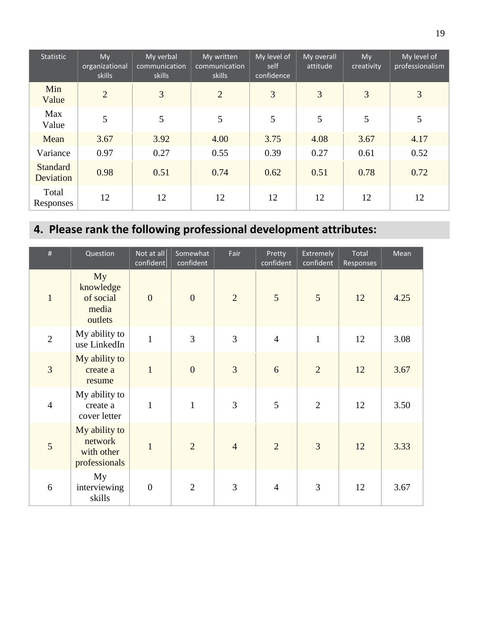| Statistic                    | My<br>organizational<br>skills | My verbal<br>communication<br>skills | My written<br>communication<br>skills | My level of<br>self<br>confidence | My overall<br>attitude | My<br>creativity | My level of<br>professionalism |
|------------------------------|--------------------------------|--------------------------------------|---------------------------------------|-----------------------------------|------------------------|------------------|--------------------------------|
| Min<br>Value                 | $\overline{2}$                 | 3                                    | 2                                     | 3                                 | 3                      | 3                | 3                              |
| Max<br>Value                 | 5                              | 5                                    | 5                                     | 5                                 | 5                      | 5                | 5                              |
| Mean                         | 3.67                           | 3.92                                 | 4.00                                  | 3.75                              | 4.08                   | 3.67             | 4.17                           |
| Variance                     | 0.97                           | 0.27                                 | 0.55                                  | 0.39                              | 0.27                   | 0.61             | 0.52                           |
| <b>Standard</b><br>Deviation | 0.98                           | 0.51                                 | 0.74                                  | 0.62                              | 0.51                   | 0.78             | 0.72                           |
| Total<br>Responses           | 12                             | 12                                   | 12                                    | 12                                | 12                     | 12               | 12                             |

# **4. Please rank the following professional development attributes:**

| #              | Question                                                | Not at all<br>confident | Somewhat<br>confident | Fair           | Pretty<br>confident | <b>Extremely</b><br>confident | Total<br>Responses | Mean |
|----------------|---------------------------------------------------------|-------------------------|-----------------------|----------------|---------------------|-------------------------------|--------------------|------|
| $\mathbf{1}$   | My<br>knowledge<br>of social<br>media<br>outlets        | $\overline{0}$          | $\overline{0}$        | $\overline{2}$ | 5                   | 5                             | 12                 | 4.25 |
| $\overline{2}$ | My ability to<br>use LinkedIn                           | $\mathbf{1}$            | $\overline{3}$        | $\overline{3}$ | $\overline{4}$      | $\mathbf{1}$                  | 12                 | 3.08 |
| 3              | My ability to<br>create a<br>resume                     | $\mathbf{1}$            | $\overline{0}$        | $\overline{3}$ | 6                   | $\overline{2}$                | 12                 | 3.67 |
| $\overline{4}$ | My ability to<br>create a<br>cover letter               | $\mathbf{1}$            | $\mathbf{1}$          | 3              | 5                   | $\overline{2}$                | 12                 | 3.50 |
| 5              | My ability to<br>network<br>with other<br>professionals | $\mathbf{1}$            | $\overline{2}$        | $\overline{4}$ | $\overline{2}$      | 3                             | 12                 | 3.33 |
| 6              | My<br>interviewing<br>skills                            | $\boldsymbol{0}$        | $\overline{2}$        | 3              | $\overline{4}$      | 3                             | 12                 | 3.67 |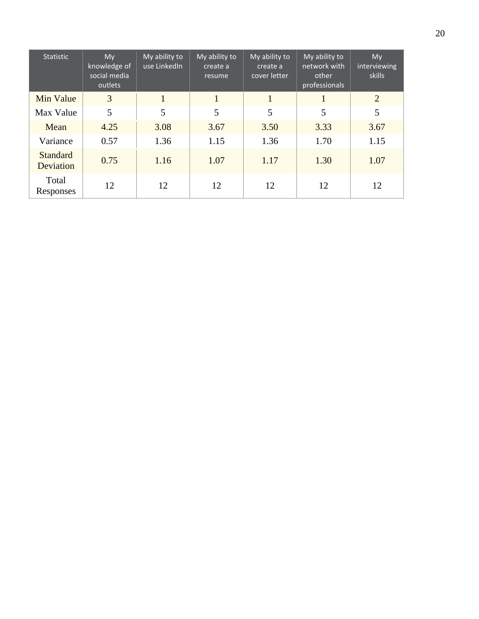| <b>Statistic</b>             | My<br>knowledge of<br>social media<br>outlets | My ability to<br>use LinkedIn | My ability to<br>create a<br>resume | My ability to<br>create a<br>cover letter | My ability to<br>network with<br>other<br>professionals | My<br>interviewing<br>skills |
|------------------------------|-----------------------------------------------|-------------------------------|-------------------------------------|-------------------------------------------|---------------------------------------------------------|------------------------------|
| Min Value                    | 3                                             |                               |                                     | $\mathbf{1}$                              |                                                         | 2                            |
| Max Value                    | 5                                             | 5                             | 5                                   | 5                                         | 5                                                       | 5                            |
| Mean                         | 4.25                                          | 3.08                          | 3.67                                | 3.50                                      | 3.33                                                    | 3.67                         |
| Variance                     | 0.57                                          | 1.36                          | 1.15                                | 1.36                                      | 1.70                                                    | 1.15                         |
| <b>Standard</b><br>Deviation | 0.75                                          | 1.16                          | 1.07                                | 1.17                                      | 1.30                                                    | 1.07                         |
| Total<br>Responses           | 12                                            | 12                            | 12                                  | 12                                        | 12                                                      | 12                           |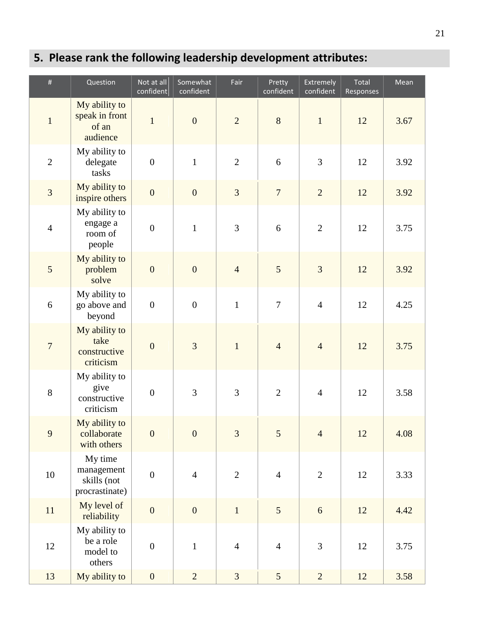# **5. Please rank the following leadership development attributes:**

| $\#$           | Question                                               | Not at all<br>confident | Somewhat<br>confident | Fair           | Pretty<br>confident | Extremely<br>confident | Total<br>Responses | Mean |
|----------------|--------------------------------------------------------|-------------------------|-----------------------|----------------|---------------------|------------------------|--------------------|------|
| $\mathbf{1}$   | My ability to<br>speak in front<br>of an<br>audience   | $\mathbf{1}$            | $\overline{0}$        | $\overline{2}$ | 8                   | $\mathbf{1}$           | 12                 | 3.67 |
| $\overline{2}$ | My ability to<br>delegate<br>tasks                     | $\boldsymbol{0}$        | $1\,$                 | $\overline{2}$ | 6                   | 3                      | 12                 | 3.92 |
| 3              | My ability to<br>inspire others                        | $\boldsymbol{0}$        | $\boldsymbol{0}$      | $\overline{3}$ | $\overline{7}$      | $\overline{2}$         | 12                 | 3.92 |
| $\overline{4}$ | My ability to<br>engage a<br>room of<br>people         | $\boldsymbol{0}$        | $\mathbf{1}$          | 3              | 6                   | $\overline{2}$         | 12                 | 3.75 |
| 5              | My ability to<br>problem<br>solve                      | $\mathbf{0}$            | $\overline{0}$        | $\overline{4}$ | 5                   | $\overline{3}$         | 12                 | 3.92 |
| $\sqrt{6}$     | My ability to<br>go above and<br>beyond                | $\boldsymbol{0}$        | $\boldsymbol{0}$      | $\mathbf{1}$   | $\boldsymbol{7}$    | $\overline{4}$         | 12                 | 4.25 |
| $\overline{7}$ | My ability to<br>take<br>constructive<br>criticism     | $\boldsymbol{0}$        | 3                     | $\mathbf{1}$   | $\overline{4}$      | $\overline{4}$         | 12                 | 3.75 |
| $8\,$          | My ability to<br>give<br>constructive<br>criticism     | $\boldsymbol{0}$        | 3                     | 3              | $\mathbf{2}$        | $\overline{4}$         | 12                 | 3.58 |
| 9              | My ability to<br>collaborate<br>with others            | $\mathbf{0}$            | $\overline{0}$        | $\overline{3}$ | 5                   | $\overline{4}$         | 12                 | 4.08 |
| $10\,$         | My time<br>management<br>skills (not<br>procrastinate) | $\boldsymbol{0}$        | $\overline{4}$        | $\mathbf{2}$   | $\overline{4}$      | $\overline{2}$         | 12                 | 3.33 |
| $11\,$         | My level of<br>reliability                             | $\boldsymbol{0}$        | $\boldsymbol{0}$      | $\mathbf{1}$   | 5                   | 6                      | 12                 | 4.42 |
| $12\,$         | My ability to<br>be a role<br>model to<br>others       | $\boldsymbol{0}$        | $\mathbf 1$           | $\overline{4}$ | $\overline{4}$      | 3                      | 12                 | 3.75 |
| 13             | My ability to                                          | $\boldsymbol{0}$        | $\overline{2}$        | $\overline{3}$ | $5\overline{)}$     | $\overline{2}$         | 12                 | 3.58 |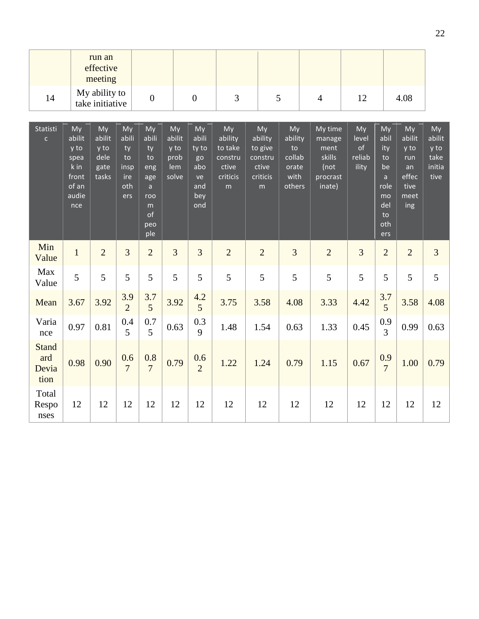|                                      |                                                                        | run an<br>effective<br>meeting                |                                                      |                                                                                       |                                              |                                                              |                                                               |                                                               |                                                          |                                                                   |                                                 |                                                                                        |                                                                   |                                                |
|--------------------------------------|------------------------------------------------------------------------|-----------------------------------------------|------------------------------------------------------|---------------------------------------------------------------------------------------|----------------------------------------------|--------------------------------------------------------------|---------------------------------------------------------------|---------------------------------------------------------------|----------------------------------------------------------|-------------------------------------------------------------------|-------------------------------------------------|----------------------------------------------------------------------------------------|-------------------------------------------------------------------|------------------------------------------------|
| 14                                   |                                                                        | My ability to<br>take initiative              |                                                      | $\boldsymbol{0}$                                                                      |                                              | $\overline{0}$                                               | 3                                                             |                                                               | 5                                                        | $\overline{4}$                                                    | 12                                              |                                                                                        | 4.08                                                              |                                                |
| Statisti<br>$\mathsf{C}$             | My<br>abilit<br>y to<br>spea<br>k in<br>front<br>of an<br>audie<br>nce | My<br>abilit<br>y to<br>dele<br>gate<br>tasks | My<br>abili<br>ty<br>to<br>insp<br>ire<br>oth<br>ers | My<br>abili<br>ty<br>to<br>eng<br>age<br>$\mathsf{a}$<br>roo<br>m<br>of<br>peo<br>ple | My<br>abilit<br>y to<br>prob<br>lem<br>solve | My<br>abili<br>ty to<br>go<br>abo<br>ve<br>and<br>bey<br>ond | My<br>ability<br>to take<br>constru<br>ctive<br>criticis<br>m | My<br>ability<br>to give<br>constru<br>ctive<br>criticis<br>m | My<br>ability<br>to<br>collab<br>orate<br>with<br>others | My time<br>manage<br>ment<br>skills<br>(not<br>procrast<br>inate) | My<br>level<br>$\mathsf{of}$<br>reliab<br>ility | My<br>abil<br>ity<br>to<br>be<br>$\mathsf{a}$<br>role<br>mo<br>del<br>to<br>oth<br>ers | My<br>abilit<br>y to<br>run<br>an<br>effec<br>tive<br>meet<br>ing | My<br>abilit<br>y to<br>take<br>initia<br>tive |
| Min<br>Value                         | $\mathbf{1}$                                                           | $\overline{2}$                                | $\overline{3}$                                       | $\overline{2}$                                                                        | 3                                            | $\overline{3}$                                               | $\overline{2}$                                                | $\overline{2}$                                                | 3                                                        | $\overline{2}$                                                    | $\overline{3}$                                  | $\overline{2}$                                                                         | $\overline{2}$                                                    | $\overline{3}$                                 |
| Max<br>Value                         | 5                                                                      | 5                                             | 5                                                    | 5                                                                                     | 5                                            | 5                                                            | 5                                                             | 5                                                             | 5                                                        | 5                                                                 | 5                                               | 5                                                                                      | 5                                                                 | 5                                              |
| Mean                                 | 3.67                                                                   | 3.92                                          | 3.9<br>$\overline{2}$                                | 3.7<br>5                                                                              | 3.92                                         | 4.2<br>5                                                     | 3.75                                                          | 3.58                                                          | 4.08                                                     | 3.33                                                              | 4.42                                            | 3.7<br>5                                                                               | 3.58                                                              | 4.08                                           |
| Varia<br>nce                         | 0.97                                                                   | 0.81                                          | 0.4<br>5                                             | 0.7<br>5                                                                              | 0.63                                         | 0.3<br>9                                                     | 1.48                                                          | 1.54                                                          | 0.63                                                     | 1.33                                                              | 0.45                                            | 0.9<br>3                                                                               | 0.99                                                              | 0.63                                           |
| <b>Stand</b><br>ard<br>Devia<br>tion | 0.98                                                                   | 0.90                                          | 0.6<br>$\overline{7}$                                | 0.8<br>$\overline{7}$                                                                 | 0.79                                         | 0.6<br>$\overline{2}$                                        | 1.22                                                          | 1.24                                                          | 0.79                                                     | 1.15                                                              | 0.67                                            | 0.9<br>$\overline{7}$                                                                  | 1.00                                                              | 0.79                                           |
| Total<br>Respo<br>nses               | 12                                                                     | 12                                            | 12                                                   | 12                                                                                    | 12                                           | 12                                                           | 12                                                            | 12                                                            | 12                                                       | 12                                                                | 12                                              | 12                                                                                     | 12                                                                | 12                                             |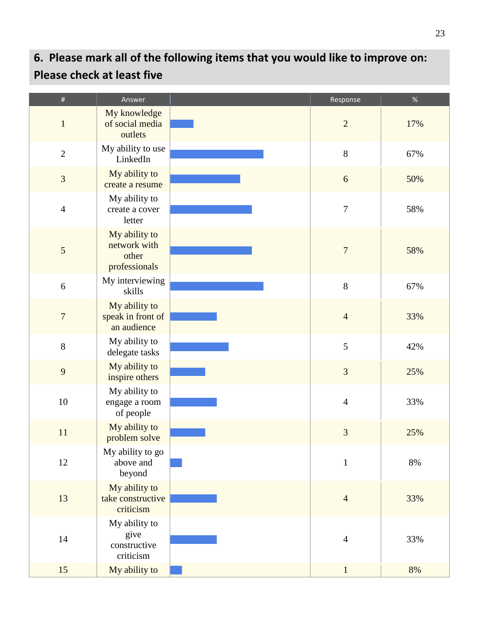# **6. Please mark all of the following items that you would like to improve on: Please check at least five**

| $\#$           | Answer                                                  | Response         | $\%$ |
|----------------|---------------------------------------------------------|------------------|------|
| $\mathbf{1}$   | My knowledge<br>of social media<br>outlets              | $\overline{2}$   | 17%  |
| $\overline{2}$ | My ability to use<br>LinkedIn                           | $8\,$            | 67%  |
| $\mathfrak{Z}$ | My ability to<br>create a resume                        | $\sqrt{6}$       | 50%  |
| $\overline{4}$ | My ability to<br>create a cover<br>letter               | $\boldsymbol{7}$ | 58%  |
| 5              | My ability to<br>network with<br>other<br>professionals | $\boldsymbol{7}$ | 58%  |
| 6              | My interviewing<br>skills                               | $8\,$            | 67%  |
| $\overline{7}$ | My ability to<br>speak in front of<br>an audience       | $\overline{4}$   | 33%  |
| $8\,$          | My ability to<br>delegate tasks                         | 5                | 42%  |
| 9              | My ability to<br>inspire others                         | $\overline{3}$   | 25%  |
| $10\,$         | My ability to<br>engage a room<br>of people             | $\overline{4}$   | 33%  |
| 11             | My ability to<br>problem solve                          | 3                | 25%  |
| 12             | My ability to go<br>above and<br>beyond                 | $\mathbf{1}$     | 8%   |
| 13             | My ability to<br>take constructive<br>criticism         | $\overline{4}$   | 33%  |
| 14             | My ability to<br>give<br>constructive<br>criticism      | $\overline{4}$   | 33%  |
| 15             | My ability to                                           | $1\,$            | 8%   |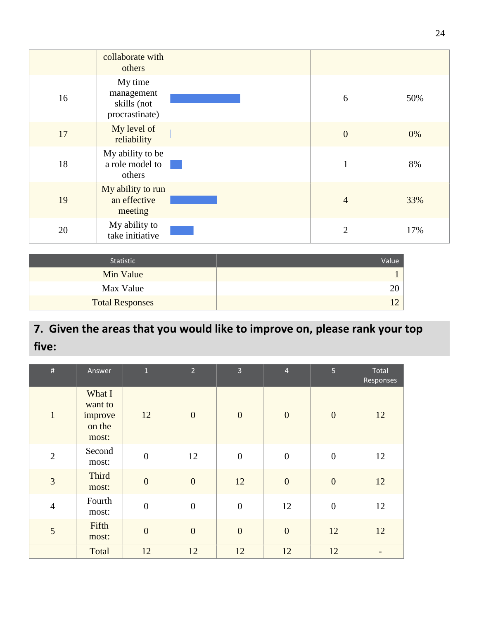|    | collaborate with<br>others                             |                |     |
|----|--------------------------------------------------------|----------------|-----|
| 16 | My time<br>management<br>skills (not<br>procrastinate) | 6              | 50% |
| 17 | My level of<br>reliability                             | $\theta$       | 0%  |
| 18 | My ability to be<br>a role model to<br>others          | 1              | 8%  |
| 19 | My ability to run<br>an effective<br>meeting           | $\overline{4}$ | 33% |
| 20 | My ability to<br>take initiative                       | $\overline{2}$ | 17% |

| Statistic              | Value |
|------------------------|-------|
| Min Value              |       |
| Max Value              |       |
| <b>Total Responses</b> |       |

## **7. Given the areas that you would like to improve on, please rank your top five:**

| $\#$           | Answer                                          | $\mathbf 1$      | $\overline{2}$   | $\overline{3}$   | $\overline{4}$   | 5 <sub>1</sub>   | Total<br>Responses |
|----------------|-------------------------------------------------|------------------|------------------|------------------|------------------|------------------|--------------------|
| $\mathbf{1}$   | What I<br>want to<br>improve<br>on the<br>most: | 12               | $\boldsymbol{0}$ | $\boldsymbol{0}$ | $\overline{0}$   | $\mathbf{0}$     | 12                 |
| $\overline{2}$ | Second<br>most:                                 | $\boldsymbol{0}$ | 12               | $\boldsymbol{0}$ | $\boldsymbol{0}$ | $\boldsymbol{0}$ | 12                 |
| 3              | <b>Third</b><br>most:                           | $\overline{0}$   | $\boldsymbol{0}$ | 12               | $\overline{0}$   | $\overline{0}$   | 12                 |
| $\overline{4}$ | Fourth<br>most:                                 | $\overline{0}$   | $\boldsymbol{0}$ | $\boldsymbol{0}$ | 12               | $\boldsymbol{0}$ | 12                 |
| 5              | Fifth<br>most:                                  | $\overline{0}$   | $\overline{0}$   | $\boldsymbol{0}$ | $\overline{0}$   | 12               | 12                 |
|                | Total                                           | 12               | 12               | 12               | 12               | 12               |                    |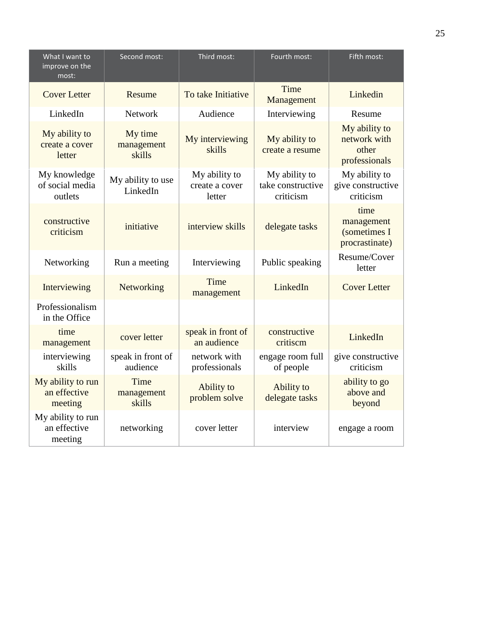| What I want to<br>improve on the<br>most:    | Second most:                    | Third most:                               | Fourth most:                                    | Fifth most:                                             |
|----------------------------------------------|---------------------------------|-------------------------------------------|-------------------------------------------------|---------------------------------------------------------|
| <b>Cover Letter</b>                          | Resume                          | To take Initiative                        | Time<br>Management                              | Linkedin                                                |
| LinkedIn                                     | <b>Network</b>                  | Audience                                  | Interviewing                                    | Resume                                                  |
| My ability to<br>create a cover<br>letter    | My time<br>management<br>skills | My interviewing<br>skills                 | My ability to<br>create a resume                | My ability to<br>network with<br>other<br>professionals |
| My knowledge<br>of social media<br>outlets   | My ability to use<br>LinkedIn   | My ability to<br>create a cover<br>letter | My ability to<br>take constructive<br>criticism | My ability to<br>give constructive<br>criticism         |
| constructive<br>criticism                    | initiative                      | interview skills                          | delegate tasks                                  | time<br>management<br>(sometimes I<br>procrastinate)    |
| Networking                                   | Run a meeting                   | Interviewing                              | Public speaking                                 | Resume/Cover<br>letter                                  |
| Interviewing                                 | Networking                      | Time<br>management                        | LinkedIn                                        | <b>Cover Letter</b>                                     |
| Professionalism<br>in the Office             |                                 |                                           |                                                 |                                                         |
| time<br>management                           | cover letter                    | speak in front of<br>an audience          | constructive<br>critiscm                        | LinkedIn                                                |
| interviewing<br>skills                       | speak in front of<br>audience   | network with<br>professionals             | engage room full<br>of people                   | give constructive<br>criticism                          |
| My ability to run<br>an effective<br>meeting | Time<br>management<br>skills    | Ability to<br>problem solve               | Ability to<br>delegate tasks                    | ability to go<br>above and<br>beyond                    |
| My ability to run<br>an effective<br>meeting | networking                      | cover letter                              | interview                                       | engage a room                                           |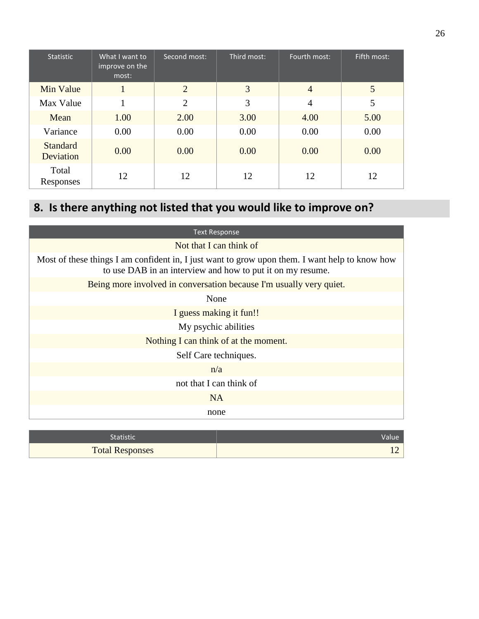| <b>Statistic</b>             | What I want to<br>improve on the<br>most: | Second most:   | Third most: | Fourth most:   | Fifth most: |
|------------------------------|-------------------------------------------|----------------|-------------|----------------|-------------|
| Min Value                    |                                           | $\overline{2}$ | 3           | $\overline{4}$ | 5           |
| Max Value                    |                                           | $\overline{2}$ | 3           | $\overline{4}$ | 5           |
| Mean                         | 1.00                                      | 2.00           | 3.00        | 4.00           | 5.00        |
| Variance                     | 0.00                                      | 0.00           | 0.00        | 0.00           | 0.00        |
| <b>Standard</b><br>Deviation | 0.00                                      | 0.00           | 0.00        | 0.00           | 0.00        |
| Total<br>Responses           | 12                                        | 12             | 12          | 12             | 12          |

# **8. Is there anything not listed that you would like to improve on?**

| <b>Text Response</b>                                                                                                                                         |
|--------------------------------------------------------------------------------------------------------------------------------------------------------------|
| Not that I can think of                                                                                                                                      |
| Most of these things I am confident in, I just want to grow upon them. I want help to know how<br>to use DAB in an interview and how to put it on my resume. |
| Being more involved in conversation because I'm usually very quiet.                                                                                          |
| None                                                                                                                                                         |
| I guess making it fun!!                                                                                                                                      |
| My psychic abilities                                                                                                                                         |
| Nothing I can think of at the moment.                                                                                                                        |
| Self Care techniques.                                                                                                                                        |
| n/a                                                                                                                                                          |
| not that I can think of                                                                                                                                      |
| NA.                                                                                                                                                          |
| none                                                                                                                                                         |

| Statistic'             | Value |
|------------------------|-------|
| <b>Total Responses</b> |       |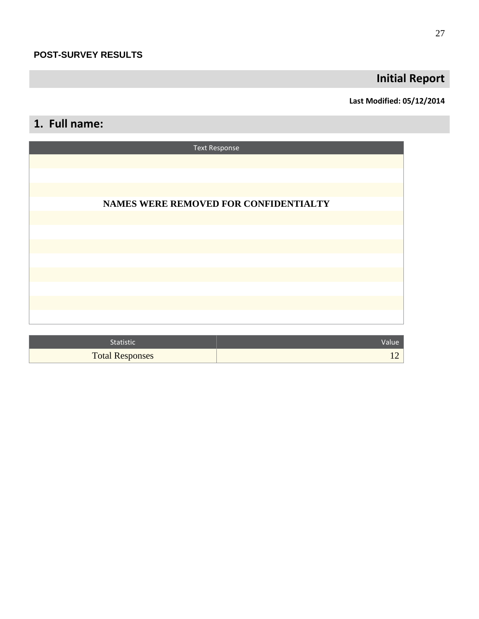## **Initial Report**

### **Last Modified: 05/12/2014**

## **1. Full name:**

| <b>Text Response</b>                  |
|---------------------------------------|
|                                       |
|                                       |
|                                       |
| NAMES WERE REMOVED FOR CONFIDENTIALTY |
|                                       |
|                                       |
|                                       |
|                                       |
|                                       |
|                                       |
|                                       |

| <b>Statistic</b>       | Value' |
|------------------------|--------|
| <b>Total Responses</b> |        |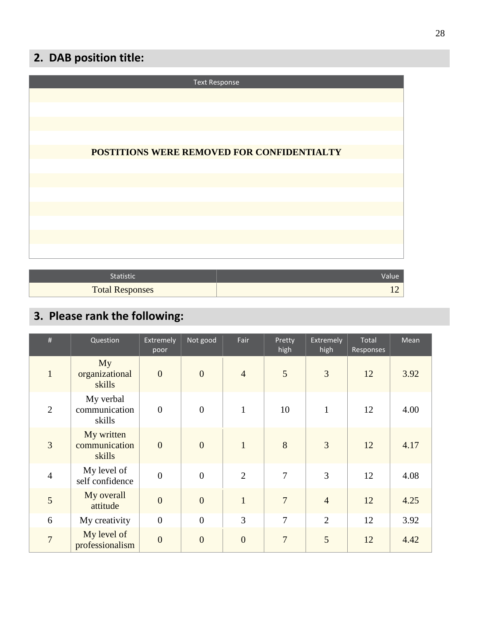## **2. DAB position title:**

| <b>Text Response</b>                       |
|--------------------------------------------|
|                                            |
|                                            |
|                                            |
|                                            |
| POSTITIONS WERE REMOVED FOR CONFIDENTIALTY |
|                                            |
|                                            |
|                                            |
|                                            |
|                                            |
|                                            |

| Statistic              |  |
|------------------------|--|
| <b>Total Responses</b> |  |

# **3. Please rank the following:**

| #              | Question                              | Extremely<br>poor | Not good       | Fair           | Pretty<br>high | <b>Extremely</b><br>high | Total<br>Responses | Mean |
|----------------|---------------------------------------|-------------------|----------------|----------------|----------------|--------------------------|--------------------|------|
| $\mathbf{1}$   | My<br>organizational<br>skills        | $\overline{0}$    | $\overline{0}$ | $\overline{4}$ | 5              | 3                        | 12                 | 3.92 |
| 2              | My verbal<br>communication<br>skills  | $\overline{0}$    | $\overline{0}$ | $\mathbf{1}$   | 10             | $\mathbf{1}$             | 12                 | 4.00 |
| $\overline{3}$ | My written<br>communication<br>skills | $\overline{0}$    | $\overline{0}$ | $\mathbf{1}$   | 8              | $\overline{3}$           | 12                 | 4.17 |
| $\overline{4}$ | My level of<br>self confidence        | $\overline{0}$    | $\overline{0}$ | $\overline{2}$ | $\overline{7}$ | $\overline{3}$           | 12                 | 4.08 |
| 5              | My overall<br>attitude                | $\overline{0}$    | $\overline{0}$ | $\overline{1}$ | $\overline{7}$ | $\overline{4}$           | 12                 | 4.25 |
| 6              | My creativity                         | $\overline{0}$    | $\overline{0}$ | 3              | $\overline{7}$ | $\overline{2}$           | 12                 | 3.92 |
| $\overline{7}$ | My level of<br>professionalism        | $\overline{0}$    | $\overline{0}$ | $\overline{0}$ | $\overline{7}$ | 5                        | 12                 | 4.42 |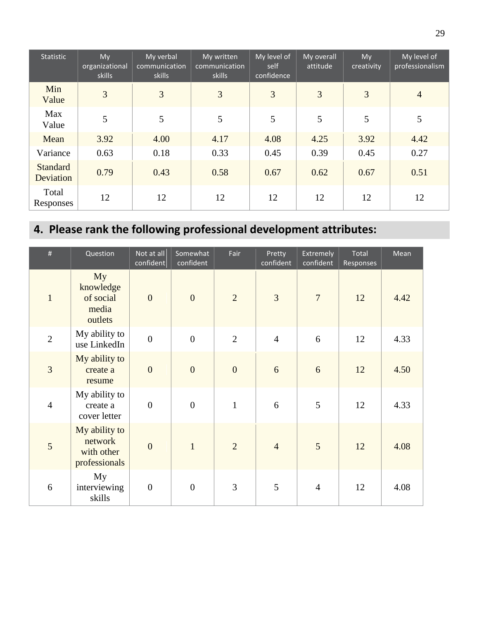| Statistic                    | My<br>organizational<br>skills | My verbal<br>communication<br>skills | My written<br>communication<br>skills | My level of<br>self<br>confidence | My overall<br>attitude | My<br>creativity | My level of<br>professionalism |
|------------------------------|--------------------------------|--------------------------------------|---------------------------------------|-----------------------------------|------------------------|------------------|--------------------------------|
| Min<br>Value                 | 3                              | 3                                    | 3                                     | 3                                 | 3                      | 3                | $\overline{4}$                 |
| Max<br>Value                 | 5                              | 5                                    | 5                                     | 5                                 | 5                      | 5                | 5                              |
| Mean                         | 3.92                           | 4.00                                 | 4.17                                  | 4.08                              | 4.25                   | 3.92             | 4.42                           |
| Variance                     | 0.63                           | 0.18                                 | 0.33                                  | 0.45                              | 0.39                   | 0.45             | 0.27                           |
| <b>Standard</b><br>Deviation | 0.79                           | 0.43                                 | 0.58                                  | 0.67                              | 0.62                   | 0.67             | 0.51                           |
| Total<br>Responses           | 12                             | 12                                   | 12                                    | 12                                | 12                     | 12               | 12                             |

# **4. Please rank the following professional development attributes:**

| #              | Question                                                | Not at all<br>confident | Somewhat<br>confident | Fair           | Pretty<br>confident | <b>Extremely</b><br>confident | Total<br>Responses | Mean |
|----------------|---------------------------------------------------------|-------------------------|-----------------------|----------------|---------------------|-------------------------------|--------------------|------|
| $\mathbf{1}$   | My<br>knowledge<br>of social<br>media<br>outlets        | $\overline{0}$          | $\overline{0}$        | $\overline{2}$ | $\overline{3}$      | $\overline{7}$                | 12                 | 4.42 |
| $\overline{2}$ | My ability to<br>use LinkedIn                           | $\overline{0}$          | $\overline{0}$        | $\overline{2}$ | $\overline{4}$      | 6                             | 12                 | 4.33 |
| 3              | My ability to<br>create a<br>resume                     | $\overline{0}$          | $\overline{0}$        | $\overline{0}$ | 6                   | 6                             | 12                 | 4.50 |
| $\overline{4}$ | My ability to<br>create a<br>cover letter               | $\boldsymbol{0}$        | $\boldsymbol{0}$      | $\mathbf{1}$   | 6                   | 5                             | 12                 | 4.33 |
| 5              | My ability to<br>network<br>with other<br>professionals | $\overline{0}$          | $\mathbf{1}$          | $\overline{2}$ | $\overline{4}$      | 5                             | 12                 | 4.08 |
| 6              | My<br>interviewing<br>skills                            | $\boldsymbol{0}$        | $\boldsymbol{0}$      | 3              | 5                   | $\overline{4}$                | 12                 | 4.08 |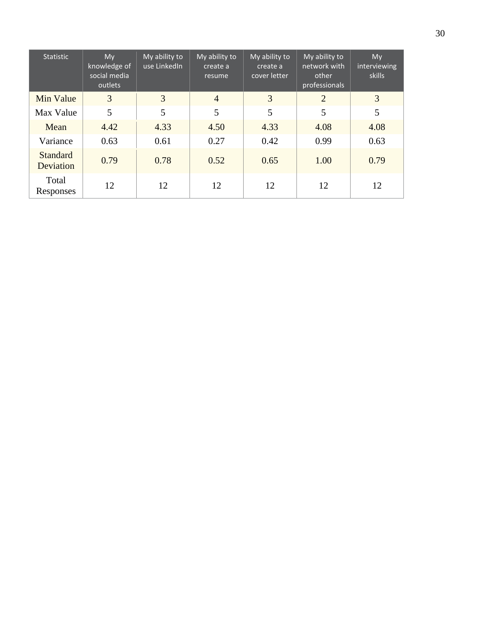| <b>Statistic</b>             | My<br>knowledge of<br>social media<br>outlets | My ability to<br>use LinkedIn | My ability to<br>create a<br>resume | My ability to<br>create a<br>cover letter | My ability to<br>network with<br>other<br>professionals | My<br>interviewing<br><b>skills</b> |
|------------------------------|-----------------------------------------------|-------------------------------|-------------------------------------|-------------------------------------------|---------------------------------------------------------|-------------------------------------|
| Min Value                    | $\overline{3}$                                | 3                             | $\overline{4}$                      | 3                                         | $\overline{2}$                                          | 3                                   |
| Max Value                    | 5                                             | 5                             | 5                                   | 5                                         | 5                                                       | 5                                   |
| Mean                         | 4.42                                          | 4.33                          | 4.50                                | 4.33                                      | 4.08                                                    | 4.08                                |
| Variance                     | 0.63                                          | 0.61                          | 0.27                                | 0.42                                      | 0.99                                                    | 0.63                                |
| <b>Standard</b><br>Deviation | 0.79                                          | 0.78                          | 0.52                                | 0.65                                      | 1.00                                                    | 0.79                                |
| Total<br>Responses           | 12                                            | 12                            | 12                                  | 12                                        | 12                                                      | 12                                  |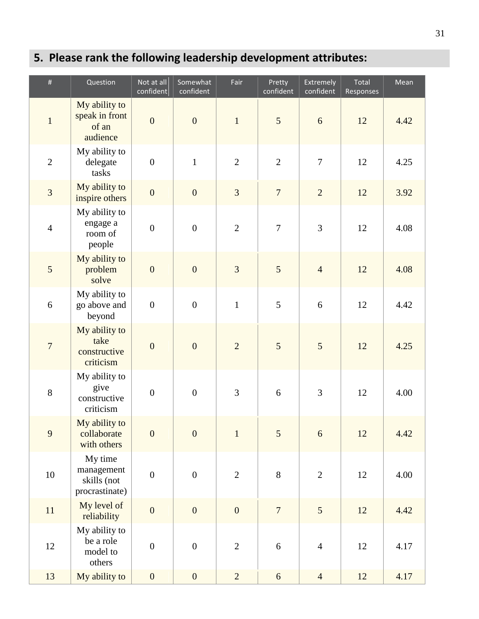# **5. Please rank the following leadership development attributes:**

| $\#$             | Question                                               | Not at all<br>confident | Somewhat<br>confident | Fair           | Pretty<br>confident | Extremely<br>confident | Total<br>Responses | Mean |
|------------------|--------------------------------------------------------|-------------------------|-----------------------|----------------|---------------------|------------------------|--------------------|------|
| $\mathbf 1$      | My ability to<br>speak in front<br>of an<br>audience   | $\overline{0}$          | $\overline{0}$        | $1\,$          | 5                   | 6                      | 12                 | 4.42 |
| $\overline{2}$   | My ability to<br>delegate<br>tasks                     | $\boldsymbol{0}$        | $\mathbf{1}$          | $\overline{2}$ | $\overline{2}$      | $\tau$                 | 12                 | 4.25 |
| 3                | My ability to<br>inspire others                        | $\boldsymbol{0}$        | $\boldsymbol{0}$      | 3              | $\sqrt{ }$          | $\sqrt{2}$             | 12                 | 3.92 |
| $\overline{4}$   | My ability to<br>engage a<br>room of<br>people         | $\boldsymbol{0}$        | $\boldsymbol{0}$      | $\overline{2}$ | $\tau$              | 3                      | 12                 | 4.08 |
| 5                | My ability to<br>problem<br>solve                      | $\mathbf{0}$            | $\overline{0}$        | 3              | 5                   | $\overline{4}$         | 12                 | 4.08 |
| 6                | My ability to<br>go above and<br>beyond                | $\boldsymbol{0}$        | $\boldsymbol{0}$      | $\mathbf{1}$   | 5                   | 6                      | 12                 | 4.42 |
| $\boldsymbol{7}$ | My ability to<br>take<br>constructive<br>criticism     | $\boldsymbol{0}$        | $\overline{0}$        | $\overline{2}$ | 5                   | 5                      | 12                 | 4.25 |
| $8\,$            | My ability to<br>give<br>constructive<br>criticism     | $\boldsymbol{0}$        | $\boldsymbol{0}$      | $\overline{3}$ | $\sqrt{6}$          | 3                      | 12                 | 4.00 |
| 9                | My ability to<br>collaborate<br>with others            | $\boldsymbol{0}$        | $\overline{0}$        | $\mathbf{1}$   | 5                   | 6                      | 12                 | 4.42 |
| $10\,$           | My time<br>management<br>skills (not<br>procrastinate) | $\boldsymbol{0}$        | $\boldsymbol{0}$      | $\mathbf{2}$   | $8\,$               | $\overline{2}$         | 12                 | 4.00 |
| 11               | My level of<br>reliability                             | $\boldsymbol{0}$        | $\boldsymbol{0}$      | $\overline{0}$ | $\overline{7}$      | $\overline{5}$         | 12                 | 4.42 |
| $12\,$           | My ability to<br>be a role<br>model to<br>others       | $\boldsymbol{0}$        | $\boldsymbol{0}$      | $\sqrt{2}$     | $\sqrt{6}$          | $\overline{4}$         | 12                 | 4.17 |
| 13               | My ability to                                          | $\boldsymbol{0}$        | $\boldsymbol{0}$      | $\overline{2}$ | $\sqrt{6}$          | $\overline{4}$         | 12                 | 4.17 |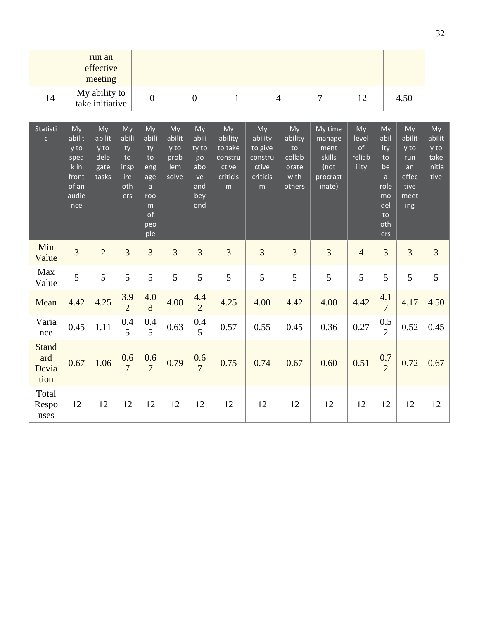|                                      |                                                                        | run an<br>effective<br>meeting                |                                                      |                                                                                       |                                              |                                                              |                                                               |                                                               |                                                          |                                                                   |                                      |                                                                                        |                                                                   |                                                |
|--------------------------------------|------------------------------------------------------------------------|-----------------------------------------------|------------------------------------------------------|---------------------------------------------------------------------------------------|----------------------------------------------|--------------------------------------------------------------|---------------------------------------------------------------|---------------------------------------------------------------|----------------------------------------------------------|-------------------------------------------------------------------|--------------------------------------|----------------------------------------------------------------------------------------|-------------------------------------------------------------------|------------------------------------------------|
| 14                                   |                                                                        | My ability to<br>take initiative              |                                                      | $\boldsymbol{0}$                                                                      |                                              | $\overline{0}$                                               | $\mathbf{1}$                                                  |                                                               | $\overline{4}$                                           | $\overline{7}$                                                    | 12                                   |                                                                                        | 4.50                                                              |                                                |
| Statisti<br>$\mathsf{C}$             | My<br>abilit<br>y to<br>spea<br>k in<br>front<br>of an<br>audie<br>nce | My<br>abilit<br>y to<br>dele<br>gate<br>tasks | My<br>abili<br>ty<br>to<br>insp<br>ire<br>oth<br>ers | My<br>abili<br>ty<br>to<br>eng<br>age<br>$\mathsf{a}$<br>roo<br>m<br>of<br>peo<br>ple | My<br>abilit<br>y to<br>prob<br>lem<br>solve | My<br>abili<br>ty to<br>go<br>abo<br>ve<br>and<br>bey<br>ond | My<br>ability<br>to take<br>constru<br>ctive<br>criticis<br>m | My<br>ability<br>to give<br>constru<br>ctive<br>criticis<br>m | My<br>ability<br>to<br>collab<br>orate<br>with<br>others | My time<br>manage<br>ment<br>skills<br>(not<br>procrast<br>inate) | My<br>level<br>of<br>reliab<br>ility | My<br>abil<br>ity<br>to<br>be<br>$\mathsf{a}$<br>role<br>mo<br>del<br>to<br>oth<br>ers | My<br>abilit<br>y to<br>run<br>an<br>effec<br>tive<br>meet<br>ing | My<br>abilit<br>y to<br>take<br>initia<br>tive |
| Min<br>Value                         | $\overline{3}$                                                         | $\overline{2}$                                | $\overline{3}$                                       | 3                                                                                     | 3                                            | $\overline{3}$                                               | 3                                                             | $\overline{3}$                                                | 3                                                        | $\overline{3}$                                                    | $\overline{4}$                       | $\overline{3}$                                                                         | 3                                                                 | $\overline{3}$                                 |
| Max<br>Value                         | 5                                                                      | 5                                             | 5                                                    | 5                                                                                     | 5                                            | 5                                                            | 5                                                             | 5                                                             | 5                                                        | 5                                                                 | 5                                    | 5                                                                                      | 5                                                                 | 5                                              |
| Mean                                 | 4.42                                                                   | 4.25                                          | 3.9<br>$\overline{2}$                                | 4.0<br>8                                                                              | 4.08                                         | 4.4<br>$\overline{2}$                                        | 4.25                                                          | 4.00                                                          | 4.42                                                     | 4.00                                                              | 4.42                                 | 4.1<br>$\overline{7}$                                                                  | 4.17                                                              | 4.50                                           |
| Varia<br>nce                         | 0.45                                                                   | 1.11                                          | 0.4<br>5                                             | 0.4<br>5                                                                              | 0.63                                         | 0.4<br>5                                                     | 0.57                                                          | 0.55                                                          | 0.45                                                     | 0.36                                                              | 0.27                                 | 0.5<br>$\overline{2}$                                                                  | 0.52                                                              | 0.45                                           |
| <b>Stand</b><br>ard<br>Devia<br>tion | 0.67                                                                   | 1.06                                          | 0.6<br>$\overline{7}$                                | 0.6<br>$\overline{7}$                                                                 | 0.79                                         | 0.6<br>$\overline{7}$                                        | 0.75                                                          | 0.74                                                          | 0.67                                                     | 0.60                                                              | 0.51                                 | 0.7<br>$\overline{2}$                                                                  | 0.72                                                              | 0.67                                           |
| Total<br>Respo<br>nses               | 12                                                                     | 12                                            | 12                                                   | 12                                                                                    | 12                                           | 12                                                           | 12                                                            | 12                                                            | 12                                                       | 12                                                                | 12                                   | 12                                                                                     | 12                                                                | 12                                             |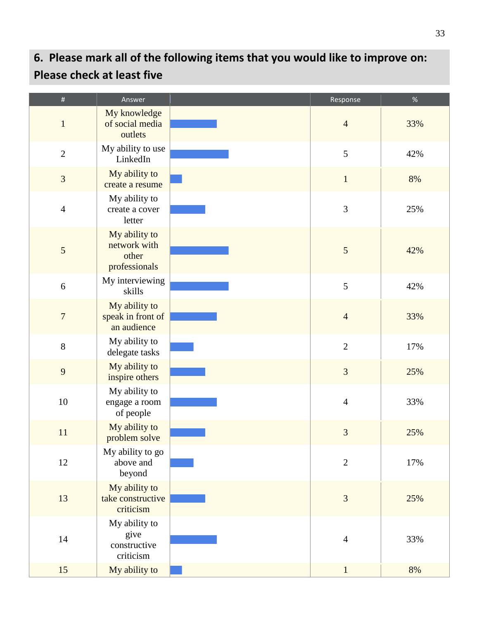# **6. Please mark all of the following items that you would like to improve on: Please check at least five**

| $\#$             | Answer                                                  | Response       | $\%$ |
|------------------|---------------------------------------------------------|----------------|------|
| $\mathbf 1$      | My knowledge<br>of social media<br>outlets              | $\overline{4}$ | 33%  |
| $\overline{2}$   | My ability to use<br>LinkedIn                           | 5              | 42%  |
| 3                | My ability to<br>create a resume                        | $\mathbf{1}$   | 8%   |
| $\overline{4}$   | My ability to<br>create a cover<br>letter               | $\mathfrak{Z}$ | 25%  |
| $\mathfrak{S}$   | My ability to<br>network with<br>other<br>professionals | $\sqrt{5}$     | 42%  |
| $\boldsymbol{6}$ | My interviewing<br>skills                               | 5              | 42%  |
| $\sqrt{ }$       | My ability to<br>speak in front of<br>an audience       | $\overline{4}$ | 33%  |
| $8\,$            | My ability to<br>delegate tasks                         | $\overline{2}$ | 17%  |
| 9                | My ability to<br>inspire others                         | 3              | 25%  |
| $10\,$           | My ability to<br>engage a room<br>of people             | $\overline{4}$ | 33%  |
| 11               | My ability to<br>problem solve                          | 3              | 25%  |
| $12\,$           | My ability to go<br>above and<br>beyond                 | $\overline{2}$ | 17%  |
| 13               | My ability to<br>take constructive<br>criticism         | 3              | 25%  |
| 14               | My ability to<br>give<br>constructive<br>criticism      | $\overline{4}$ | 33%  |
| 15               | My ability to                                           | $\mathbf{1}$   | 8%   |